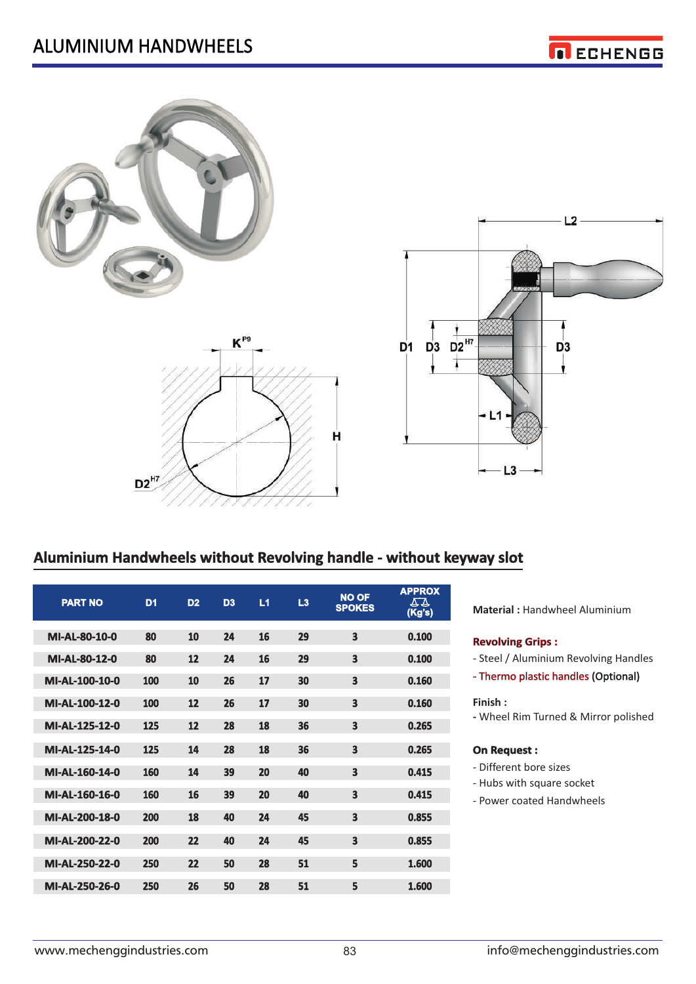





### **Aluminium Handwheels without Revolving handle - without keyway slot**

| <b>PART NO</b> | D <sub>1</sub> | D <sub>2</sub> | D <sub>3</sub> | L1 | L3 | <b>NO OF</b><br><b>SPOKES</b> | <b>APPROX</b><br>44<br>(Kg's) |
|----------------|----------------|----------------|----------------|----|----|-------------------------------|-------------------------------|
| MI-AL-80-10-0  | 80             | 10             | 24             | 16 | 29 | 3                             | 0.100                         |
| MI-AL-80-12-0  | 80             | 12             | 24             | 16 | 29 | 3                             | 0.100                         |
| MI-AL-100-10-0 | 100            | 10             | 26             | 17 | 30 | 3                             | 0.160                         |
| MI-AL-100-12-0 | 100            | 12             | 26             | 17 | 30 | 3                             | 0.160                         |
| MI-AL-125-12-0 | 125            | 12             | 28             | 18 | 36 | 3                             | 0.265                         |
| MI-AL-125-14-0 | 125            | 14             | 28             | 18 | 36 | 3                             | 0.265                         |
| MI-AL-160-14-0 | 160            | 14             | 39             | 20 | 40 | 3                             | 0.415                         |
| MI-AL-160-16-0 | 160            | 16             | 39             | 20 | 40 | 3                             | 0.415                         |
| MI-AL-200-18-0 | 200            | 18             | 40             | 24 | 45 | 3                             | 0.855                         |
| MI-AL-200-22-0 | 200            | 22             | 40             | 24 | 45 | 3                             | 0.855                         |
| MI-AL-250-22-0 | 250            | 22             | 50             | 28 | 51 | 5                             | 1.600                         |
| MI-AL-250-26-0 | 250            | 26             | 50             | 28 | 51 | 5                             | 1.600                         |

**Material :** Handwheel Aluminium

#### **Revolving Grips :**

- Steel / Aluminium Revolving Handles
- Thermo plastic handles (Optional)

### **Finish :**

**-** Wheel Rim Turned & Mirror polished

### **On Request :**

- Different bore sizes
- Hubs with square socket
- Power coated Handwheels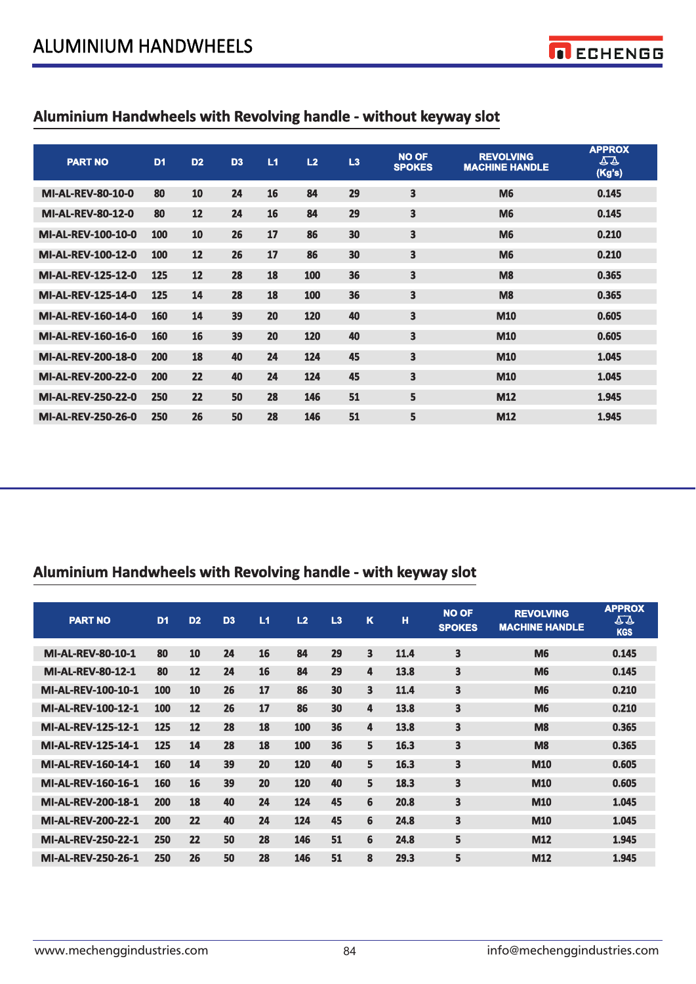

# **Aluminium Handwheels with Revolving handle - without keyway slot**

| <b>PART NO</b>            | D <sub>1</sub> | D <sub>2</sub> | D <sub>3</sub> | L1 | L2  | L3 | <b>NO OF</b><br><b>SPOKES</b> | <b>REVOLVING</b><br><b>MACHINE HANDLE</b> | <b>APPROX</b><br>54<br>(Kg's) |
|---------------------------|----------------|----------------|----------------|----|-----|----|-------------------------------|-------------------------------------------|-------------------------------|
| <b>MI-AL-REV-80-10-0</b>  | 80             | 10             | 24             | 16 | 84  | 29 | 3                             | <b>M6</b>                                 | 0.145                         |
| <b>MI-AL-REV-80-12-0</b>  | 80             | 12             | 24             | 16 | 84  | 29 | 3                             | <b>M6</b>                                 | 0.145                         |
| <b>MI-AL-REV-100-10-0</b> | 100            | 10             | 26             | 17 | 86  | 30 | 3                             | <b>M6</b>                                 | 0.210                         |
| <b>MI-AL-REV-100-12-0</b> | 100            | 12             | 26             | 17 | 86  | 30 | 3                             | <b>M6</b>                                 | 0.210                         |
| <b>MI-AL-REV-125-12-0</b> | 125            | 12             | 28             | 18 | 100 | 36 | 3                             | M <sub>8</sub>                            | 0.365                         |
| <b>MI-AL-REV-125-14-0</b> | 125            | 14             | 28             | 18 | 100 | 36 | 3                             | M <sub>8</sub>                            | 0.365                         |
| <b>MI-AL-REV-160-14-0</b> | 160            | 14             | 39             | 20 | 120 | 40 | 3                             | <b>M10</b>                                | 0.605                         |
| <b>MI-AL-REV-160-16-0</b> | 160            | 16             | 39             | 20 | 120 | 40 | 3                             | <b>M10</b>                                | 0.605                         |
| <b>MI-AL-REV-200-18-0</b> | 200            | 18             | 40             | 24 | 124 | 45 | 3                             | <b>M10</b>                                | 1.045                         |
| <b>MI-AL-REV-200-22-0</b> | 200            | 22             | 40             | 24 | 124 | 45 | 3                             | M10                                       | 1.045                         |
| <b>MI-AL-REV-250-22-0</b> | 250            | 22             | 50             | 28 | 146 | 51 | 5                             | M12                                       | 1.945                         |
| <b>MI-AL-REV-250-26-0</b> | 250            | 26             | 50             | 28 | 146 | 51 | 5                             | M12                                       | 1.945                         |

# **Aluminium Handwheels with Revolving handle - with keyway slot**

| <b>PART NO</b>            | D <sub>1</sub> | D <sub>2</sub> | D <sub>3</sub> | L1 | L2  | L3 | K  | H    | <b>NO OF</b><br><b>SPOKES</b> | <b>REVOLVING</b><br><b>MACHINE HANDLE</b> | <b>APPROX</b><br>77<br><b>KGS</b> |
|---------------------------|----------------|----------------|----------------|----|-----|----|----|------|-------------------------------|-------------------------------------------|-----------------------------------|
| <b>MI-AL-REV-80-10-1</b>  | 80             | 10             | 24             | 16 | 84  | 29 | 3  | 11.4 | 3                             | <b>M6</b>                                 | 0.145                             |
| <b>MI-AL-REV-80-12-1</b>  | 80             | 12             | 24             | 16 | 84  | 29 | 4  | 13.8 | 3                             | <b>M6</b>                                 | 0.145                             |
| <b>MI-AL-REV-100-10-1</b> | 100            | 10             | 26             | 17 | 86  | 30 | 3  | 11.4 | 3                             | <b>M6</b>                                 | 0.210                             |
| <b>MI-AL-REV-100-12-1</b> | 100            | 12             | 26             | 17 | 86  | 30 | 4  | 13.8 | 3                             | <b>M6</b>                                 | 0.210                             |
| <b>MI-AL-REV-125-12-1</b> | 125            | 12             | 28             | 18 | 100 | 36 | 4  | 13.8 | 3                             | <b>M8</b>                                 | 0.365                             |
| <b>MI-AL-REV-125-14-1</b> | 125            | 14             | 28             | 18 | 100 | 36 | 5. | 16.3 | 3                             | <b>M8</b>                                 | 0.365                             |
| <b>MI-AL-REV-160-14-1</b> | 160            | 14             | 39             | 20 | 120 | 40 | 5  | 16.3 | 3                             | M10                                       | 0.605                             |
| <b>MI-AL-REV-160-16-1</b> | 160            | 16             | 39             | 20 | 120 | 40 | 5  | 18.3 | 3                             | M10                                       | 0.605                             |
| <b>MI-AL-REV-200-18-1</b> | 200            | 18             | 40             | 24 | 124 | 45 | 6  | 20.8 | 3                             | M10                                       | 1.045                             |
| <b>MI-AL-REV-200-22-1</b> | 200            | 22             | 40             | 24 | 124 | 45 | 6  | 24.8 | 3                             | M10                                       | 1.045                             |
| <b>MI-AL-REV-250-22-1</b> | 250            | 22             | 50             | 28 | 146 | 51 | 6  | 24.8 | 5                             | M12                                       | 1.945                             |
| <b>MI-AL-REV-250-26-1</b> | 250            | 26             | 50             | 28 | 146 | 51 | 8  | 29.3 | 5                             | M12                                       | 1.945                             |